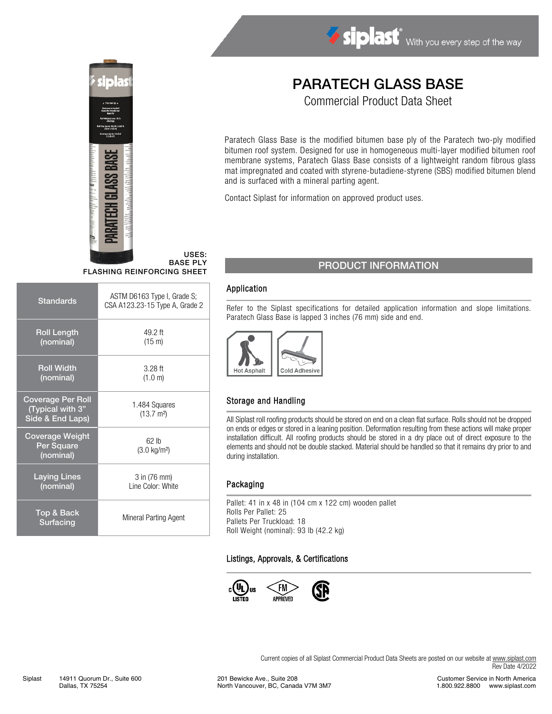



USES: BASE PLY FLASHING REINFORCING SHEET

| <b>Standards</b>                                                 | ASTM D6163 Type I, Grade S;<br>CSA A123.23-15 Type A, Grade 2 |
|------------------------------------------------------------------|---------------------------------------------------------------|
| <b>Roll Length</b><br>(nominal)                                  | 49.2 ft<br>$(15 \text{ m})$                                   |
| <b>Roll Width</b><br>(nominal)                                   | $3.28$ ft<br>(1.0 m)                                          |
| <b>Coverage Per Roll</b><br>(Typical with 3"<br>Side & End Laps) | 1.484 Squares<br>$(13.7 \text{ m}^2)$                         |
| <b>Coverage Weight</b><br>Per Square<br>(nominal)                | 62 lb<br>$(3.0 \text{ kg/m}^2)$                               |
| <b>Laying Lines</b><br>(nominal)                                 | 3 in (76 mm)<br>Line Color: White                             |
| Top & Back<br>Surfacing                                          | Mineral Parting Agent                                         |

# PARATECH GLASS BASE

Commercial Product Data Sheet

Paratech Glass Base is the modified bitumen base ply of the Paratech two-ply modified bitumen roof system. Designed for use in homogeneous multi-layer modified bitumen roof membrane systems, Paratech Glass Base consists of a lightweight random fibrous glass mat impregnated and coated with styrene-butadiene-styrene (SBS) modified bitumen blend and is surfaced with a mineral parting agent.

Contact Siplast for information on approved product uses.

## PRODUCT INFORMATION

#### Application

Refer to the Siplast specifications for detailed application information and slope limitations. Paratech Glass Base is lapped 3 inches (76 mm) side and end.



#### Storage and Handling

All Siplast roll roofing products should be stored on end on a clean flat surface. Rolls should not be dropped on ends or edges or stored in a leaning position. Deformation resulting from these actions will make proper installation difficult. All roofing products should be stored in a dry place out of direct exposure to the elements and should not be double stacked. Material should be handled so that it remains dry prior to and during installation.

#### Packaging

Pallet: 41 in x 48 in (104 cm x 122 cm) wooden pallet Rolls Per Pallet: 25 Pallets Per Truckload: 18 Roll Weight (nominal): 93 lb (42.2 kg)

#### Listings, Approvals, & Certifications



Current copies of all Siplast Commercial Product Data Sheets are posted on our website at [www.siplast.com](http://www.siplast.com/) Rev Date 4/2022